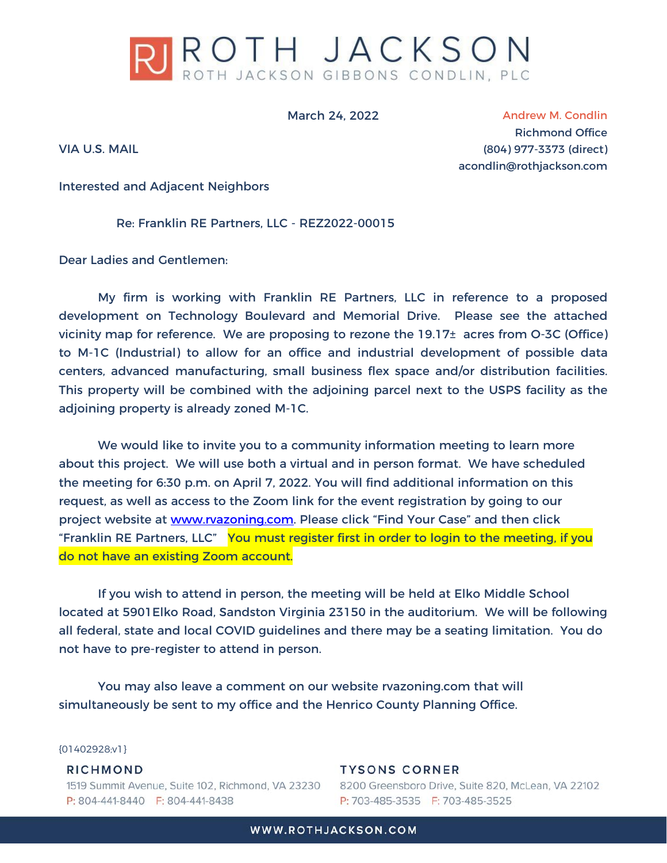

March 24, 2022

VIA U.S. MAIL

Andrew M. Condlin Richmond Office (804) 977-3373 (direct) acondlin@rothjackson.com

Interested and Adjacent Neighbors

Re: Franklin RE Partners, LLC - REZ2022-00015

Dear Ladies and Gentlemen:

My firm is working with Franklin RE Partners, LLC in reference to a proposed development on Technology Boulevard and Memorial Drive. Please see the attached vicinity map for reference. We are proposing to rezone the 19.17± acres from O-3C (Office) to M-1C (Industrial) to allow for an office and industrial development of possible data centers, advanced manufacturing, small business flex space and/or distribution facilities. This property will be combined with the adjoining parcel next to the USPS facility as the adjoining property is already zoned M-1C.

 We would like to invite you to a community information meeting to learn more about this project. We will use both a virtual and in person format. We have scheduled the meeting for 6:30 p.m. on April 7, 2022. You will find additional information on this request, as well as access to the Zoom link for the event registration by going to our project website at www.rvazoning.com. Please click "Find Your Case" and then click "Franklin RE Partners, LLC" You must register first in order to login to the meeting, if you do not have an existing Zoom account.

 If you wish to attend in person, the meeting will be held at Elko Middle School located at 5901Elko Road, Sandston Virginia 23150 in the auditorium. We will be following all federal, state and local COVID guidelines and there may be a seating limitation. You do not have to pre-register to attend in person.

 You may also leave a comment on our website rvazoning.com that will simultaneously be sent to my office and the Henrico County Planning Office.

{01402928;v1}

## RICHMOND

1519 Summit Avenue, Suite 102, Richmond, VA 23230 P: 804-441-8440 F: 804-441-8438

**TYSONS CORNER** 8200 Greensboro Drive, Suite 820, McLean, VA 22102 P: 703-485-3535 F: 703-485-3525

WWW.ROTHJACKSON.COM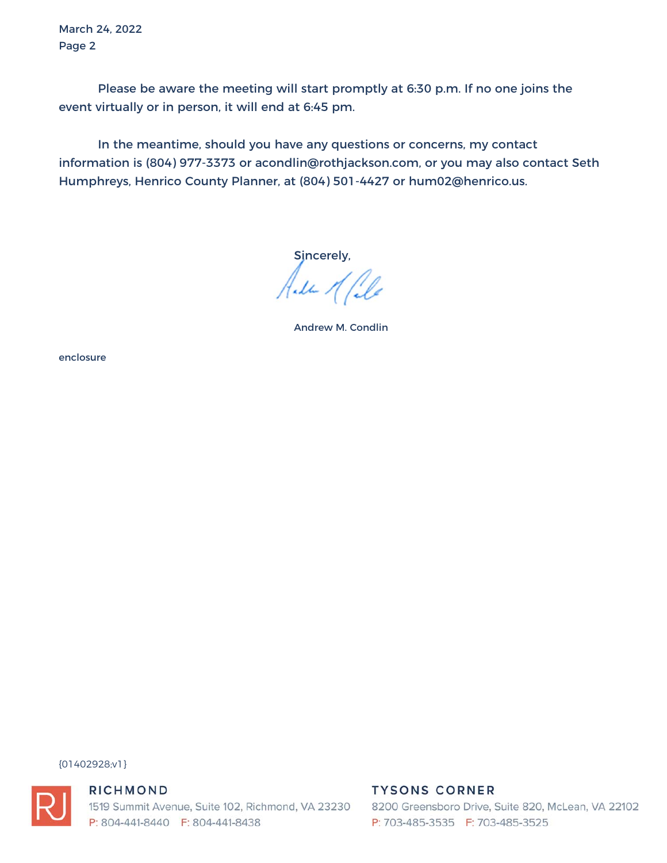March 24, 2022 Page 2

Please be aware the meeting will start promptly at 6:30 p.m. If no one joins the event virtually or in person, it will end at 6:45 pm.

In the meantime, should you have any questions or concerns, my contact information is (804) 977-3373 or acondlin@rothjackson.com, or you may also contact Seth Humphreys, Henrico County Planner, at (804) 501-4427 or hum02@henrico.us.

Sincerely,

Alla Male

Andrew M. Condlin

enclosure

{01402928;v1}



## RICHMOND

1519 Summit Avenue, Suite 102, Richmond, VA 23230 P: 804-441-8440 F: 804-441-8438

## **TYSONS CORNER**

8200 Greensboro Drive, Suite 820, McLean, VA 22102 P: 703-485-3535 F: 703-485-3525